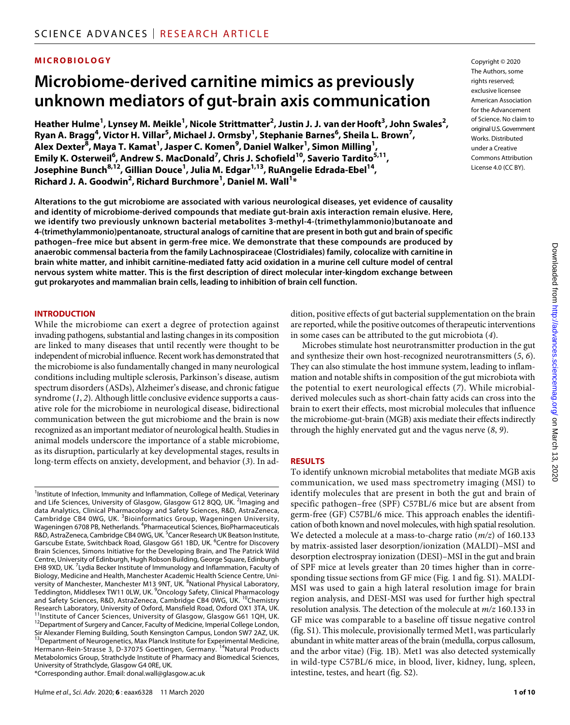# **MICROBIOLOGY**

# **Microbiome-derived carnitine mimics as previously unknown mediators of gut-brain axis communication**

**Heather Hulme1 , Lynsey M. Meikle1 , Nicole Strittmatter2 , Justin J. J. van derHooft3 , John Swales2 , Ryan A. Bragg<sup>4</sup> , Victor H. Villar5 , Michael J. Ormsby1 , Stephanie Barnes6 , Sheila L. Brown7 ,**   $\mathsf{A}$ lex Dexter $^{\overline{8}}$ , Maya T. Kamat<sup>1</sup>, Jasper C. Komen $^9$ , Daniel Walker<sup>1</sup>, Simon Milling<sup>1</sup>, **Emily K. Osterweil6 , Andrew S. MacDonald7 , Chris J. Schofield10, Saverio Tardito5,11, Josephine Bunch8,12, Gillian Douce1 , Julia M. Edgar1,13, RuAngelie Edrada-Ebel14, Richard J. A. Goodwin2 , Richard Burchmore1 , Daniel M. Wall1 \***

**Alterations to the gut microbiome are associated with various neurological diseases, yet evidence of causality and identity of microbiome-derived compounds that mediate gut-brain axis interaction remain elusive. Here, we identify two previously unknown bacterial metabolites 3-methyl-4-(trimethylammonio)butanoate and 4-(trimethylammonio)pentanoate, structural analogs of carnitine that are present in both gut and brain of specific pathogen–free mice but absent in germ-free mice. We demonstrate that these compounds are produced by anaerobic commensal bacteria from the family Lachnospiraceae (Clostridiales) family, colocalize with carnitine in brain white matter, and inhibit carnitine-mediated fatty acid oxidation in a murine cell culture model of central nervous system white matter. This is the first description of direct molecular inter-kingdom exchange between gut prokaryotes and mammalian brain cells, leading to inhibition of brain cell function.**

#### **INTRODUCTION**

While the microbiome can exert a degree of protection against invading pathogens, substantial and lasting changes in its composition are linked to many diseases that until recently were thought to be independent of microbial influence. Recent work has demonstrated that the microbiome is also fundamentally changed in many neurological conditions including multiple sclerosis, Parkinson's disease, autism spectrum disorders (ASDs), Alzheimer's disease, and chronic fatigue syndrome (*1*, *2*). Although little conclusive evidence supports a causative role for the microbiome in neurological disease, bidirectional communication between the gut microbiome and the brain is now recognized as an important mediator of neurological health. Studies in animal models underscore the importance of a stable microbiome, as its disruption, particularly at key developmental stages, results in long-term effects on anxiety, development, and behavior (*3*). In addition, positive effects of gut bacterial supplementation on the brain are reported, while the positive outcomes of therapeutic interventions in some cases can be attributed to the gut microbiota (*4*).

Microbes stimulate host neurotransmitter production in the gut and synthesize their own host-recognized neurotransmitters (*5*, *6*). They can also stimulate the host immune system, leading to inflammation and notable shifts in composition of the gut microbiota with the potential to exert neurological effects (*7*). While microbialderived molecules such as short-chain fatty acids can cross into the brain to exert their effects, most microbial molecules that influence the microbiome-gut-brain (MGB) axis mediate their effects indirectly through the highly enervated gut and the vagus nerve (*8*, *9*).

#### **RESULTS**

To identify unknown microbial metabolites that mediate MGB axis communication, we used mass spectrometry imaging (MSI) to identify molecules that are present in both the gut and brain of specific pathogen–free (SPF) C57BL/6 mice but are absent from germ-free (GF) C57BL/6 mice. This approach enables the identification of both known and novel molecules, with high spatial resolution. We detected a molecule at a mass-to-charge ratio (*m/z*) of 160.133 by matrix-assisted laser desorption/ionization (MALDI)–MSI and desorption electrospray ionization (DESI)–MSI in the gut and brain of SPF mice at levels greater than 20 times higher than in corresponding tissue sections from GF mice (Fig. 1 and fig. S1). MALDI-MSI was used to gain a high lateral resolution image for brain region analysis, and DESI-MSI was used for further high spectral resolution analysis. The detection of the molecule at *m/z* 160.133 in GF mice was comparable to a baseline off tissue negative control (fig. S1). This molecule, provisionally termed Met1, was particularly abundant in white matter areas of the brain (medulla, corpus callosum, and the arbor vitae) (Fig. 1B). Met1 was also detected systemically in wild-type C57BL/6 mice, in blood, liver, kidney, lung, spleen, intestine, testes, and heart (fig. S2).

The Authors, some rights reserved: exclusive licensee American Association for the Advancement of Science. No claim to original U.S.Government Works. Distributed under a Creative Commons Attribution License 4.0 (CC BY).

Copyright © 2020

<sup>&</sup>lt;sup>1</sup>Institute of Infection, Immunity and Inflammation, College of Medical, Veterinary and Life Sciences, University of Glasgow, Glasgow G12 8QQ, UK. <sup>2</sup>Imaging and data Analytics, Clinical Pharmacology and Safety Sciences, R&D, AstraZeneca, Cambridge CB4 0WG, UK. <sup>3</sup>Bioinformatics Group, Wageningen University, Wageningen 6708 PB, Netherlands. <sup>4</sup>Pharmaceutical Sciences, BioPharmaceuticals R&D, AstraZeneca, Cambridge CB4 0WG, UK. <sup>5</sup>Cancer Research UK Beatson Institute, Garscube Estate, Switchback Road, Glasgow G61 1BD, UK. <sup>6</sup>Centre for Discovery Brain Sciences, Simons Initiative for the Developing Brain, and The Patrick Wild Centre, University of Edinburgh, Hugh Robson Building, George Square, Edinburgh EH8 9XD, UK.<sup>7</sup> Lydia Becker Institute of Immunology and Inflammation, Faculty of Biology, Medicine and Health, Manchester Academic Health Science Centre, University of Manchester, Manchester M13 9NT, UK. <sup>8</sup>National Physical Laboratory, Teddington, Middlesex TW11 0LW, UK. <sup>9</sup>Oncology Safety, Clinical Pharmacology and Safety Sciences, R&D, AstraZeneca, Cambridge CB4 0WG, UK. <sup>10</sup>Chemistry Research Laboratory, University of Oxford, Mansfield Road, Oxford OX1 3TA, UK.<br><sup>11</sup>Institute of Cancer Sciences, University of Glasgow, Glasgow G61 1QH, UK. <sup>12</sup>Department of Surgery and Cancer, Faculty of Medicine, Imperial College London, Sir Alexander Fleming Building, South Kensington Campus, London SW7 2AZ, UK.<br><sup>13</sup>Department of Neurogenetics, Max Planck Institute for Experimental Medicine, Hermann-Rein-Strasse 3, D-37075 Goettingen, Germany. <sup>14</sup>Natural Products Metabolomics Group, Strathclyde Institute of Pharmacy and Biomedical Sciences, University of Strathclyde, Glasgow G4 0RE, UK. \*Corresponding author. Email: donal.wall@glasgow.ac.uk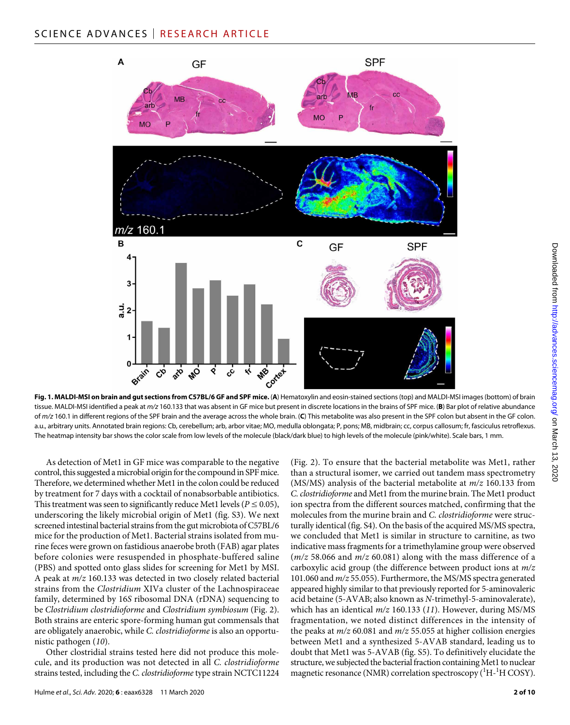

**Fig. 1. MALDI-MSI on brain and gut sections from C57BL/6 GF and SPF mice.** (**A**) Hematoxylin and eosin-stained sections (top) and MALDI-MSI images (bottom) of brain tissue. MALDI-MSI identified a peak at *m/z* 160.133 that was absent in GF mice but present in discrete locations in the brains of SPF mice. (**B**) Bar plot of relative abundance of *m/z* 160.1 in different regions of the SPF brain and the average across the whole brain. (**C**) This metabolite was also present in the SPF colon but absent in the GF colon. a.u., arbitrary units. Annotated brain regions: Cb, cerebellum; arb, arbor vitae; MO, medulla oblongata; P, pons; MB, midbrain; cc, corpus callosum; fr, fasciculus retroflexus. The heatmap intensity bar shows the color scale from low levels of the molecule (black/dark blue) to high levels of the molecule (pink/white). Scale bars, 1 mm.

As detection of Met1 in GF mice was comparable to the negative control, this suggested a microbial origin for the compound in SPF mice. Therefore, we determined whether Met1 in the colon could be reduced by treatment for 7 days with a cocktail of nonabsorbable antibiotics. This treatment was seen to significantly reduce Met1 levels ( $P \le 0.05$ ), underscoring the likely microbial origin of Met1 (fig. S3). We next screened intestinal bacterial strains from the gut microbiota of C57BL/6 mice for the production of Met1. Bacterial strains isolated from murine feces were grown on fastidious anaerobe broth (FAB) agar plates before colonies were resuspended in phosphate-buffered saline (PBS) and spotted onto glass slides for screening for Met1 by MSI. A peak at *m/z* 160.133 was detected in two closely related bacterial strains from the *Clostridium* XIVa cluster of the Lachnospiraceae family, determined by 16*S* ribosomal DNA (rDNA) sequencing to be *Clostridium clostridioforme* and *Clostridium symbiosum* (Fig. 2). Both strains are enteric spore-forming human gut commensals that are obligately anaerobic, while *C. clostridioforme* is also an opportunistic pathogen (*10*).

Other clostridial strains tested here did not produce this molecule, and its production was not detected in all *C. clostridioforme* strains tested, including the *C. clostridioforme* type strain NCTC11224 (Fig. 2). To ensure that the bacterial metabolite was Met1, rather than a structural isomer, we carried out tandem mass spectrometry (MS/MS) analysis of the bacterial metabolite at *m/z* 160.133 from *C. clostridioforme* and Met1 from the murine brain. The Met1 product ion spectra from the different sources matched, confirming that the molecules from the murine brain and *C. clostridioforme* were structurally identical (fig. S4). On the basis of the acquired MS/MS spectra, we concluded that Met1 is similar in structure to carnitine, as two indicative mass fragments for a trimethylamine group were observed (*m/z* 58.066 and *m/z* 60.081) along with the mass difference of a carboxylic acid group (the difference between product ions at *m/z* 101.060 and *m/z* 55.055). Furthermore, the MS/MS spectra generated appeared highly similar to that previously reported for 5-aminovaleric acid betaine (5-AVAB; also known as *N*-trimethyl-5-aminovalerate), which has an identical *m/z* 160.133 (*11*). However, during MS/MS fragmentation, we noted distinct differences in the intensity of the peaks at *m/z* 60.081 and *m/z* 55.055 at higher collision energies between Met1 and a synthesized 5-AVAB standard, leading us to doubt that Met1 was 5-AVAB (fig. S5). To definitively elucidate the structure, we subjected the bacterial fraction containing Met1 to nuclear magnetic resonance (NMR) correlation spectroscopy (<sup>1</sup>H-<sup>1</sup>H COSY).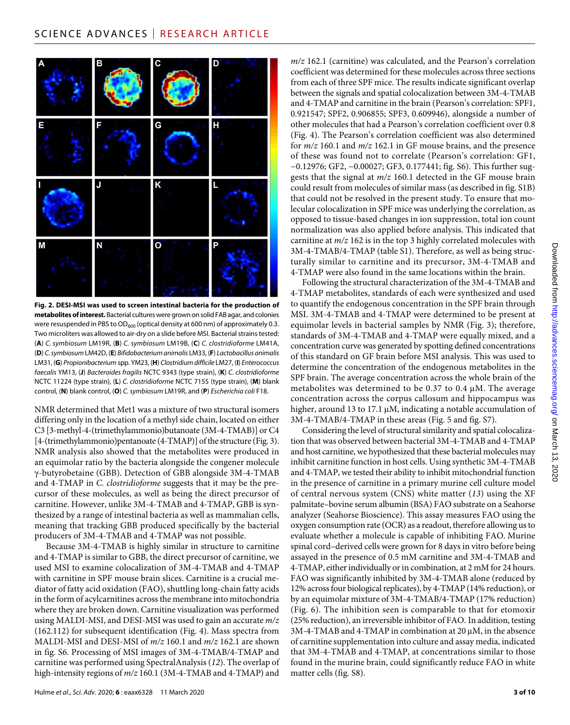

**Fig. 2. DESI-MSI was used to screen intestinal bacteria for the production of metabolites of interest.** Bacterial cultures were grown on solid FAB agar, and colonies were resuspended in PBS to OD<sub>600</sub> (optical density at 600 nm) of approximately 0.3. Two microliters was allowed to air-dry on a slide before MSI. Bacterial strains tested: (**A**) *C. symbiosum* LM19R, (**B**) *C. symbiosum* LM19B, (**C**) *C. clostridioforme* LM41A, (**D**) *C. symbiosum* LM42D, (**E**) *Bifidobacterium animalis* LM33, (**F**) *Lactobacillus animalis* LM31, (**G**) *Propionibacterium* spp. YM23, (**H**) *Clostridium difficile* LM27, (**I**) *Enterococcus faecalis* YM13, (**J**) *Bacteroides fragilis* NCTC 9343 (type strain), (**K**) *C. clostridioforme* NCTC 11224 (type strain), (**L**) *C. clostridioforme* NCTC 7155 (type strain), (**M**) blank control, (**N**) blank control, (**O**) *C. symbiosum* LM19R, and (**P**) *Escherichia coli* F18.

NMR determined that Met1 was a mixture of two structural isomers differing only in the location of a methyl side chain, located on either C3 [3-methyl-4-(trimethylammonio)butanoate (3M-4-TMAB)] or C4 [4-(trimethylammonio)pentanoate (4-TMAP)] of the structure (Fig. 3). NMR analysis also showed that the metabolites were produced in an equimolar ratio by the bacteria alongside the congener molecule -butyrobetaine (GBB). Detection of GBB alongside 3M-4-TMAB and 4-TMAP in *C. clostridioforme* suggests that it may be the precursor of these molecules, as well as being the direct precursor of carnitine. However, unlike 3M-4-TMAB and 4-TMAP, GBB is synthesized by a range of intestinal bacteria as well as mammalian cells, meaning that tracking GBB produced specifically by the bacterial producers of 3M-4-TMAB and 4-TMAP was not possible.

Because 3M-4-TMAB is highly similar in structure to carnitine and 4-TMAP is similar to GBB, the direct precursor of carnitine, we used MSI to examine colocalization of 3M-4-TMAB and 4-TMAP with carnitine in SPF mouse brain slices. Carnitine is a crucial mediator of fatty acid oxidation (FAO), shuttling long-chain fatty acids in the form of acylcarnitines across the membrane into mitochondria where they are broken down. Carnitine visualization was performed using MALDI-MSI, and DESI-MSI was used to gain an accurate *m/z* (162.112) for subsequent identification (Fig. 4). Mass spectra from MALDI-MSI and DESI-MSI of *m/z* 160.1 and *m/z* 162.1 are shown in fig. S6. Processing of MSI images of 3M-4-TMAB/4-TMAP and carnitine was performed using SpectralAnalysis (*12*). The overlap of high-intensity regions of *m/z* 160.1 (3M-4-TMAB and 4-TMAP) and

*m/z* 162.1 (carnitine) was calculated, and the Pearson's correlation coefficient was determined for these molecules across three sections from each of three SPF mice. The results indicate significant overlap between the signals and spatial colocalization between 3M-4-TMAB and 4-TMAP and carnitine in the brain (Pearson's correlation: SPF1, 0.921547; SPF2, 0.906855; SPF3, 0.609946), alongside a number of other molecules that had a Pearson's correlation coefficient over 0.8 (Fig. 4). The Pearson's correlation coefficient was also determined for *m/z* 160.1 and *m/z* 162.1 in GF mouse brains, and the presence of these was found not to correlate (Pearson's correlation: GF1, −0.12976; GF2, −0.00027; GF3, 0.177441; fig. S6). This further suggests that the signal at *m/z* 160.1 detected in the GF mouse brain could result from molecules of similar mass (as described in fig. S1B) that could not be resolved in the present study. To ensure that molecular colocalization in SPF mice was underlying the correlation, as opposed to tissue-based changes in ion suppression, total ion count normalization was also applied before analysis. This indicated that carnitine at *m/z* 162 is in the top 3 highly correlated molecules with 3M-4-TMAB/4-TMAP (table S1). Therefore, as well as being structurally similar to carnitine and its precursor, 3M-4-TMAB and 4-TMAP were also found in the same locations within the brain.

Following the structural characterization of the 3M-4-TMAB and 4-TMAP metabolites, standards of each were synthesized and used to quantify the endogenous concentration in the SPF brain through MSI. 3M-4-TMAB and 4-TMAP were determined to be present at equimolar levels in bacterial samples by NMR (Fig. 3); therefore, standards of 3M-4-TMAB and 4-TMAP were equally mixed, and a concentration curve was generated by spotting defined concentrations of this standard on GF brain before MSI analysis. This was used to determine the concentration of the endogenous metabolites in the SPF brain. The average concentration across the whole brain of the metabolites was determined to be 0.37 to 0.4  $\mu$ M. The average concentration across the corpus callosum and hippocampus was higher, around 13 to 17.1  $\mu$ M, indicating a notable accumulation of 3M-4-TMAB/4-TMAP in these areas (Fig. 5 and fig. S7).

Considering the level of structural similarity and spatial colocalization that was observed between bacterial 3M-4-TMAB and 4-TMAP and host carnitine, we hypothesized that these bacterial molecules may inhibit carnitine function in host cells. Using synthetic 3M-4-TMAB and 4-TMAP, we tested their ability to inhibit mitochondrial function in the presence of carnitine in a primary murine cell culture model of central nervous system (CNS) white matter (*13*) using the XF palmitate–bovine serum albumin (BSA) FAO substrate on a Seahorse analyzer (Seahorse Bioscience). This assay measures FAO using the oxygen consumption rate (OCR) as a readout, therefore allowing us to evaluate whether a molecule is capable of inhibiting FAO. Murine spinal cord–derived cells were grown for 8 days in vitro before being assayed in the presence of 0.5 mM carnitine and 3M-4-TMAB and 4-TMAP, either individually or in combination, at 2 mM for 24 hours. FAO was significantly inhibited by 3M-4-TMAB alone (reduced by 12% across four biological replicates), by 4-TMAP (14% reduction), or by an equimolar mixture of 3M-4-TMAB/4-TMAP (17% reduction) (Fig. 6). The inhibition seen is comparable to that for etomoxir (25% reduction), an irreversible inhibitor of FAO. In addition, testing  $3M-4-TMAB$  and  $4-TMAP$  in combination at  $20 \mu M$ , in the absence of carnitine supplementation into culture and assay media, indicated that 3M-4-TMAB and 4-TMAP, at concentrations similar to those found in the murine brain, could significantly reduce FAO in white matter cells (fig. S8).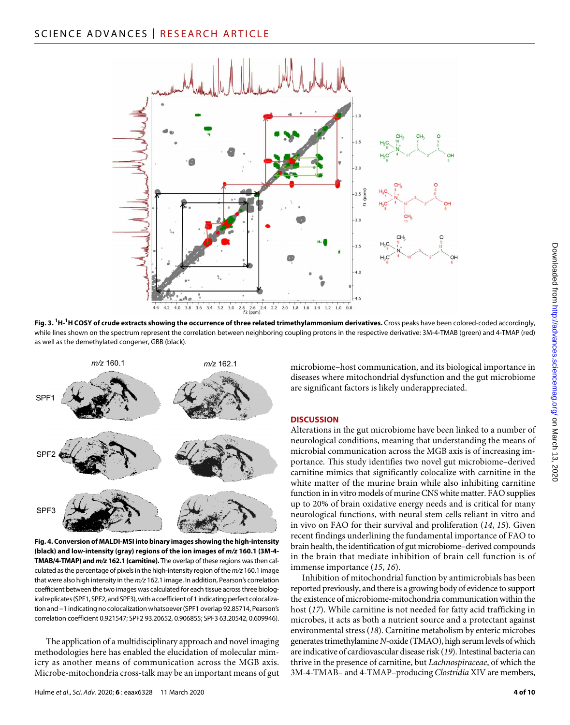

**Fig. 3. 1 H-1 H COSY of crude extracts showing the occurrence of three related trimethylammonium derivatives.** Cross peaks have been colored-coded accordingly, while lines shown on the spectrum represent the correlation between neighboring coupling protons in the respective derivative: 3M-4-TMAB (green) and 4-TMAP (red) as well as the demethylated congener, GBB (black).



**Fig. 4. Conversion of MALDI-MSI into binary images showing the high-intensity (black) and low-intensity (gray) regions of the ion images of** *m/z* **160.1 (3M-4- TMAB/4-TMAP) and** *m/z* **162.1 (carnitine).** The overlap of these regions was then calculated as the percentage of pixels in the high-intensity region of the *m/z* 160.1 image that were also high intensity in the *m/z* 162.1 image. In addition, Pearson's correlation coefficient between the two images was calculated for each tissue across three biological replicates (SPF1, SPF2, and SPF3), with a coefficient of 1 indicating perfect colocalization and −1 indicating no colocalization whatsoever (SPF1 overlap 92.85714, Pearson's correlation coefficient 0.921547; SPF2 93.20652, 0.906855; SPF3 63.20542, 0.609946).

The application of a multidisciplinary approach and novel imaging methodologies here has enabled the elucidation of molecular mimicry as another means of communication across the MGB axis. Microbe-mitochondria cross-talk may be an important means of gut microbiome–host communication, and its biological importance in diseases where mitochondrial dysfunction and the gut microbiome are significant factors is likely underappreciated.

# **DISCUSSION**

Alterations in the gut microbiome have been linked to a number of neurological conditions, meaning that understanding the means of microbial communication across the MGB axis is of increasing importance. This study identifies two novel gut microbiome–derived carnitine mimics that significantly colocalize with carnitine in the white matter of the murine brain while also inhibiting carnitine function in in vitro models of murine CNS white matter. FAO supplies up to 20% of brain oxidative energy needs and is critical for many neurological functions, with neural stem cells reliant in vitro and in vivo on FAO for their survival and proliferation (*14*, *15*). Given recent findings underlining the fundamental importance of FAO to brain health, the identification of gut microbiome–derived compounds in the brain that mediate inhibition of brain cell function is of immense importance (*15*, *16*).

Inhibition of mitochondrial function by antimicrobials has been reported previously, and there is a growing body of evidence to support the existence of microbiome-mitochondria communication within the host (*17*). While carnitine is not needed for fatty acid trafficking in microbes, it acts as both a nutrient source and a protectant against environmental stress (*18*). Carnitine metabolism by enteric microbes generates trimethylamine *N*-oxide (TMAO), high serum levels of which are indicative of cardiovascular disease risk (*19*). Intestinal bacteria can thrive in the presence of carnitine, but *Lachnospiraceae*, of which the 3M-4-TMAB– and 4-TMAP–producing *Clostridia* XIV are members,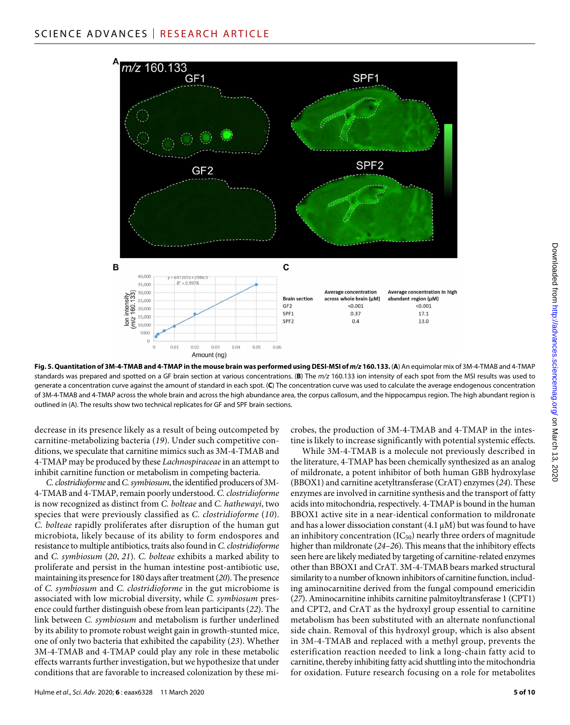

Fig. 5. Quantitation of 3M-4-TMAB and 4-TMAP in the mouse brain was performed using DESI-MSI of  $m/z$  160.133. (A) An equimolar mix of 3M-4-TMAB and 4-TMAP standards was prepared and spotted on a GF brain section at various concentrations. (**B**) The *m/z* 160.133 ion intensity of each spot from the MSI results was used to generate a concentration curve against the amount of standard in each spot. (**C**) The concentration curve was used to calculate the average endogenous concentration of 3M-4-TMAB and 4-TMAP across the whole brain and across the high abundance area, the corpus callosum, and the hippocampus region. The high abundant region is outlined in (A). The results show two technical replicates for GF and SPF brain sections.

decrease in its presence likely as a result of being outcompeted by carnitine-metabolizing bacteria (*19*). Under such competitive conditions, we speculate that carnitine mimics such as 3M-4-TMAB and 4-TMAP may be produced by these *Lachnospiraceae* in an attempt to inhibit carnitine function or metabolism in competing bacteria.

*C. clostridioforme* and *C. symbiosum*, the identified producers of 3M-4-TMAB and 4-TMAP, remain poorly understood. *C. clostridioforme* is now recognized as distinct from *C. bolteae* and *C. hathewayi*, two species that were previously classified as *C. clostridioforme* (*10*). *C. bolteae* rapidly proliferates after disruption of the human gut microbiota, likely because of its ability to form endospores and resistance to multiple antibiotics, traits also found in *C. clostridioforme* and *C. symbiosum* (*20*, *21*). *C. bolteae* exhibits a marked ability to proliferate and persist in the human intestine post-antibiotic use, maintaining its presence for 180 days after treatment (*20*). The presence of *C. symbiosum* and *C. clostridioforme* in the gut microbiome is associated with low microbial diversity, while *C. symbiosum* presence could further distinguish obese from lean participants (*22*). The link between *C. symbiosum* and metabolism is further underlined by its ability to promote robust weight gain in growth-stunted mice, one of only two bacteria that exhibited the capability (*23*). Whether 3M-4-TMAB and 4-TMAP could play any role in these metabolic effects warrants further investigation, but we hypothesize that under conditions that are favorable to increased colonization by these mi-

Hulme *et al*., *Sci. Adv.* 2020; **6** : eaax6328 11 March 2020

crobes, the production of 3M-4-TMAB and 4-TMAP in the intestine is likely to increase significantly with potential systemic effects.

While 3M-4-TMAB is a molecule not previously described in the literature, 4-TMAP has been chemically synthesized as an analog of mildronate, a potent inhibitor of both human GBB hydroxylase (BBOX1) and carnitine acetyltransferase (CrAT) enzymes (*24*). These enzymes are involved in carnitine synthesis and the transport of fatty acids into mitochondria, respectively. 4-TMAP is bound in the human BBOX1 active site in a near-identical conformation to mildronate and has a lower dissociation constant  $(4.1 \,\mu\text{M})$  but was found to have an inhibitory concentration  $(IC_{50})$  nearly three orders of magnitude higher than mildronate (*24*–*26*). This means that the inhibitory effects seen here are likely mediated by targeting of carnitine-related enzymes other than BBOX1 and CrAT. 3M-4-TMAB bears marked structural similarity to a number of known inhibitors of carnitine function, including aminocarnitine derived from the fungal compound emericidin (*27*). Aminocarnitine inhibits carnitine palmitoyltransferase 1 (CPT1) and CPT2, and CrAT as the hydroxyl group essential to carnitine metabolism has been substituted with an alternate nonfunctional side chain. Removal of this hydroxyl group, which is also absent in 3M-4-TMAB and replaced with a methyl group, prevents the esterification reaction needed to link a long-chain fatty acid to carnitine, thereby inhibiting fatty acid shuttling into the mitochondria for oxidation. Future research focusing on a role for metabolites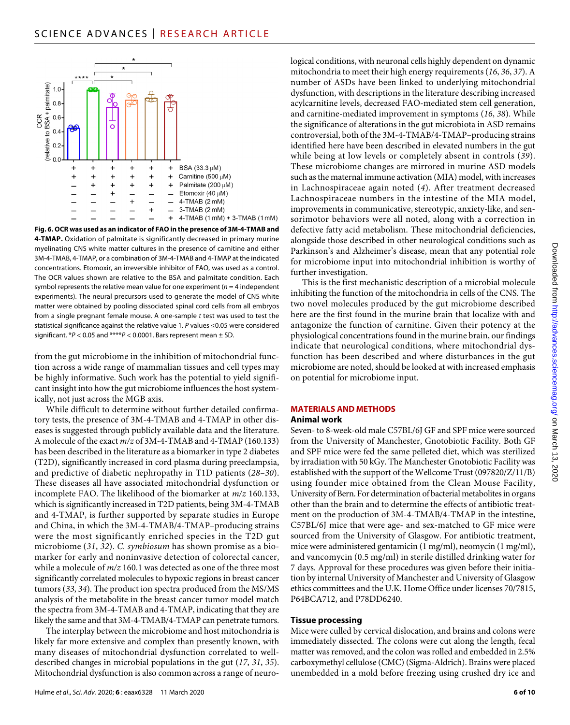

**Fig. 6. OCR was used as an indicator of FAO in the presence of 3M-4-TMAB and 4-TMAP.** Oxidation of palmitate is significantly decreased in primary murine myelinating CNS white matter cultures in the presence of carnitine and either 3M-4-TMAB, 4-TMAP, or a combination of 3M-4-TMAB and 4-TMAP at the indicated concentrations. Etomoxir, an irreversible inhibitor of FAO, was used as a control. The OCR values shown are relative to the BSA and palmitate condition. Each symbol represents the relative mean value for one experiment (*n* = 4 independent experiments). The neural precursors used to generate the model of CNS white matter were obtained by pooling dissociated spinal cord cells from all embryos from a single pregnant female mouse. A one-sample *t* test was used to test the statistical significance against the relative value 1. *P* values ≤0.05 were considered significant. \**P* < 0.05 and \*\*\*\**P* < 0.0001. Bars represent mean ± SD.

from the gut microbiome in the inhibition of mitochondrial function across a wide range of mammalian tissues and cell types may be highly informative. Such work has the potential to yield significant insight into how the gut microbiome influences the host systemically, not just across the MGB axis.

While difficult to determine without further detailed confirmatory tests, the presence of 3M-4-TMAB and 4-TMAP in other diseases is suggested through publicly available data and the literature. A molecule of the exact *m/z* of 3M-4-TMAB and 4-TMAP (160.133) has been described in the literature as a biomarker in type 2 diabetes (T2D), significantly increased in cord plasma during preeclampsia, and predictive of diabetic nephropathy in T1D patients (*28*–*30*). These diseases all have associated mitochondrial dysfunction or incomplete FAO. The likelihood of the biomarker at *m/z* 160.133, which is significantly increased in T2D patients, being 3M-4-TMAB and 4-TMAP, is further supported by separate studies in Europe and China, in which the 3M-4-TMAB/4-TMAP–producing strains were the most significantly enriched species in the T2D gut microbiome (*31*, *32*). *C. symbiosum* has shown promise as a biomarker for early and noninvasive detection of colorectal cancer, while a molecule of  $m/z$  160.1 was detected as one of the three most significantly correlated molecules to hypoxic regions in breast cancer tumors (*33*, *34*). The product ion spectra produced from the MS/MS analysis of the metabolite in the breast cancer tumor model match the spectra from 3M-4-TMAB and 4-TMAP, indicating that they are likely the same and that 3M-4-TMAB/4-TMAP can penetrate tumors.

The interplay between the microbiome and host mitochondria is likely far more extensive and complex than presently known, with many diseases of mitochondrial dysfunction correlated to welldescribed changes in microbial populations in the gut (*17*, *31*, *35*). Mitochondrial dysfunction is also common across a range of neurological conditions, with neuronal cells highly dependent on dynamic mitochondria to meet their high energy requirements (*16*, *36*, *37*). A number of ASDs have been linked to underlying mitochondrial dysfunction, with descriptions in the literature describing increased acylcarnitine levels, decreased FAO-mediated stem cell generation, and carnitine-mediated improvement in symptoms (*16*, *38*). While the significance of alterations in the gut microbiota in ASD remains controversial, both of the 3M-4-TMAB/4-TMAP–producing strains identified here have been described in elevated numbers in the gut while being at low levels or completely absent in controls (*39*). These microbiome changes are mirrored in murine ASD models such as the maternal immune activation (MIA) model, with increases in Lachnospiraceae again noted (*4*). After treatment decreased Lachnospiraceae numbers in the intestine of the MIA model, improvements in communicative, stereotypic, anxiety-like, and sensorimotor behaviors were all noted, along with a correction in defective fatty acid metabolism. These mitochondrial deficiencies, alongside those described in other neurological conditions such as Parkinson's and Alzheimer's disease, mean that any potential role for microbiome input into mitochondrial inhibition is worthy of further investigation.

This is the first mechanistic description of a microbial molecule inhibiting the function of the mitochondria in cells of the CNS. The two novel molecules produced by the gut microbiome described here are the first found in the murine brain that localize with and antagonize the function of carnitine. Given their potency at the physiological concentrations found in the murine brain, our findings indicate that neurological conditions, where mitochondrial dysfunction has been described and where disturbances in the gut microbiome are noted, should be looked at with increased emphasis on potential for microbiome input.

# **MATERIALS AND METHODS**

#### **Animal work**

Seven- to 8-week-old male C57BL/6J GF and SPF mice were sourced from the University of Manchester, Gnotobiotic Facility. Both GF and SPF mice were fed the same pelleted diet, which was sterilized by irradiation with 50 kGy. The Manchester Gnotobiotic Facility was established with the support of the Wellcome Trust (097820/Z/11/B) using founder mice obtained from the Clean Mouse Facility, University of Bern. For determination of bacterial metabolites in organs other than the brain and to determine the effects of antibiotic treatment on the production of 3M-4-TMAB/4-TMAP in the intestine, C57BL/6J mice that were age- and sex-matched to GF mice were sourced from the University of Glasgow. For antibiotic treatment, mice were administered gentamicin (1 mg/ml), neomycin (1 mg/ml), and vancomycin (0.5 mg/ml) in sterile distilled drinking water for 7 days. Approval for these procedures was given before their initiation by internal University of Manchester and University of Glasgow ethics committees and the U.K. Home Office under licenses 70/7815, P64BCA712, and P78DD6240.

#### **Tissue processing**

Mice were culled by cervical dislocation, and brains and colons were immediately dissected. The colons were cut along the length, fecal matter was removed, and the colon was rolled and embedded in 2.5% carboxymethyl cellulose (CMC) (Sigma-Aldrich). Brains were placed unembedded in a mold before freezing using crushed dry ice and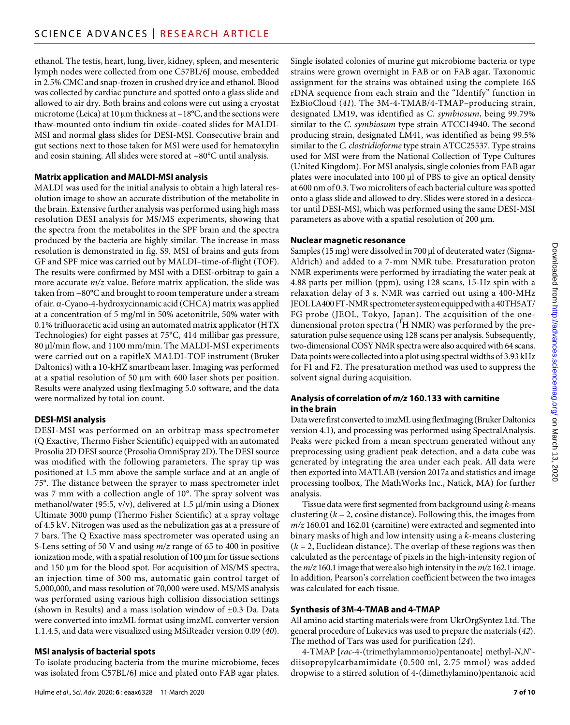ethanol. The testis, heart, lung, liver, kidney, spleen, and mesenteric lymph nodes were collected from one C57BL/6J mouse, embedded in 2.5% CMC and snap-frozen in crushed dry ice and ethanol. Blood was collected by cardiac puncture and spotted onto a glass slide and allowed to air dry. Both brains and colons were cut using a cryostat microtome (Leica) at 10  $\mu$ m thickness at −18°C, and the sections were thaw-mounted onto indium tin oxide–coated slides for MALDI-MSI and normal glass slides for DESI-MSI. Consecutive brain and gut sections next to those taken for MSI were used for hematoxylin and eosin staining. All slides were stored at −80°C until analysis.

# **Matrix application and MALDI-MSI analysis**

MALDI was used for the initial analysis to obtain a high lateral resolution image to show an accurate distribution of the metabolite in the brain. Extensive further analysis was performed using high mass resolution DESI analysis for MS/MS experiments, showing that the spectra from the metabolites in the SPF brain and the spectra produced by the bacteria are highly similar. The increase in mass resolution is demonstrated in fig. S9. MSI of brains and guts from GF and SPF mice was carried out by MALDI–time-of-flight (TOF). The results were confirmed by MSI with a DESI-orbitrap to gain a more accurate *m/z* value. Before matrix application, the slide was taken from −80°C and brought to room temperature under a stream of air. α-Cyano-4-hydroxycinnamic acid (CHCA) matrix was applied at a concentration of 5 mg/ml in 50% acetonitrile, 50% water with 0.1% trifluoracetic acid using an automated matrix applicator (HTX Technologies) for eight passes at 75°C, 414 millibar gas pressure, 80 µl/min flow, and 1100 mm/min. The MALDI-MSI experiments were carried out on a rapifleX MALDI-TOF instrument (Bruker Daltonics) with a 10-kHZ smartbeam laser. Imaging was performed at a spatial resolution of 50 µm with 600 laser shots per position. Results were analyzed using flexImaging 5.0 software, and the data were normalized by total ion count.

# **DESI-MSI analysis**

DESI-MSI was performed on an orbitrap mass spectrometer (Q Exactive, Thermo Fisher Scientific) equipped with an automated Prosolia 2D DESI source (Prosolia OmniSpray 2D). The DESI source was modified with the following parameters. The spray tip was positioned at 1.5 mm above the sample surface and at an angle of 75°. The distance between the sprayer to mass spectrometer inlet was 7 mm with a collection angle of 10°. The spray solvent was methanol/water (95:5,  $v/v$ ), delivered at 1.5 µl/min using a Dionex Ultimate 3000 pump (Thermo Fisher Scientific) at a spray voltage of 4.5 kV. Nitrogen was used as the nebulization gas at a pressure of 7 bars. The Q Exactive mass spectrometer was operated using an S-Lens setting of 50 V and using *m/z* range of 65 to 400 in positive ionization mode, with a spatial resolution of  $100 \mu m$  for tissue sections and 150 µm for the blood spot. For acquisition of MS/MS spectra, an injection time of 300 ms, automatic gain control target of 5,000,000, and mass resolution of 70,000 were used. MS/MS analysis was performed using various high collision dissociation settings (shown in Results) and a mass isolation window of ±0.3 Da. Data were converted into imzML format using imzML converter version 1.1.4.5, and data were visualized using MSiReader version 0.09 (*40*).

# **MSI analysis of bacterial spots**

To isolate producing bacteria from the murine microbiome, feces was isolated from C57BL/6J mice and plated onto FAB agar plates.

Hulme *et al*., *Sci. Adv.* 2020; **6** : eaax6328 11 March 2020

Single isolated colonies of murine gut microbiome bacteria or type strains were grown overnight in FAB or on FAB agar. Taxonomic assignment for the strains was obtained using the complete 16*S* rDNA sequence from each strain and the "Identify" function in EzBioCloud (*41*). The 3M-4-TMAB/4-TMAP–producing strain, designated LM19, was identified as *C. symbiosum*, being 99.79% similar to the *C. symbiosum* type strain ATCC14940. The second producing strain, designated LM41, was identified as being 99.5% similar to the *C. clostridioforme* type strain ATCC25537. Type strains used for MSI were from the National Collection of Type Cultures (United Kingdom). For MSI analysis, single colonies from FAB agar plates were inoculated into 100 µl of PBS to give an optical density at 600 nm of 0.3. Two microliters of each bacterial culture was spotted onto a glass slide and allowed to dry. Slides were stored in a desiccator until DESI-MSI, which was performed using the same DESI-MSI parameters as above with a spatial resolution of  $200 \mu m$ .

#### **Nuclear magnetic resonance**

Samples (15 mg) were dissolved in 700 µl of deuterated water (Sigma-Aldrich) and added to a 7-mm NMR tube. Presaturation proton NMR experiments were performed by irradiating the water peak at 4.88 parts per million (ppm), using 128 scans, 15-Hz spin with a relaxation delay of 3 s. NMR was carried out using a 400-MHz JEOL LA400 FT-NMR spectrometer system equipped with a 40TH5AT/ FG probe (JEOL, Tokyo, Japan). The acquisition of the onedimensional proton spectra ( ${}^1{\rm H}$  NMR) was performed by the presaturation pulse sequence using 128 scans per analysis. Subsequently, two-dimensional COSY NMR spectra were also acquired with 64 scans. Data points were collected into a plot using spectral widths of 3.93 kHz for F1 and F2. The presaturation method was used to suppress the solvent signal during acquisition.

# **Analysis of correlation of** *m/z* **160.133 with carnitine in the brain**

Data were first converted to imzML using flexImaging (Bruker Daltonics version 4.1), and processing was performed using SpectralAnalysis. Peaks were picked from a mean spectrum generated without any preprocessing using gradient peak detection, and a data cube was generated by integrating the area under each peak. All data were then exported into MATLAB (version 2017a and statistics and image processing toolbox, The MathWorks Inc., Natick, MA) for further analysis.

Tissue data were first segmented from background using *k*-means clustering (*k* = 2, cosine distance). Following this, the images from *m/z* 160.01 and 162.01 (carnitine) were extracted and segmented into binary masks of high and low intensity using a *k*-means clustering  $(k = 2,$  Euclidean distance). The overlap of these regions was then calculated as the percentage of pixels in the high-intensity region of the *m/z* 160.1 image that were also high intensity in the *m/z* 162.1 image. In addition, Pearson's correlation coefficient between the two images was calculated for each tissue.

# **Synthesis of 3M-4-TMAB and 4-TMAP**

All amino acid starting materials were from UkrOrgSyntez Ltd. The general procedure of Lukevics was used to prepare the materials (*42*). The method of Tars was used for purification (*24*).

4-TMAP [*rac*-4-(trimethylammonio)pentanoate] methyl-*N*,*N*′ diisopropylcarbamimidate (0.500 ml, 2.75 mmol) was added dropwise to a stirred solution of 4-(dimethylamino)pentanoic acid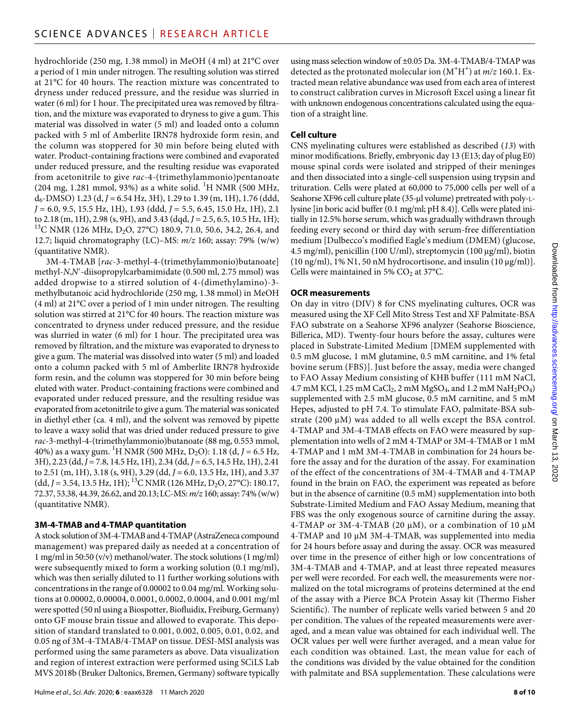hydrochloride (250 mg, 1.38 mmol) in MeOH (4 ml) at 21°C over a period of 1 min under nitrogen. The resulting solution was stirred at 21°C for 40 hours. The reaction mixture was concentrated to dryness under reduced pressure, and the residue was slurried in water (6 ml) for 1 hour. The precipitated urea was removed by filtration, and the mixture was evaporated to dryness to give a gum. This material was dissolved in water (5 ml) and loaded onto a column packed with 5 ml of Amberlite IRN78 hydroxide form resin, and the column was stoppered for 30 min before being eluted with water. Product-containing fractions were combined and evaporated under reduced pressure, and the resulting residue was evaporated from acetonitrile to give *rac*-4-(trimethylammonio)pentanoate  $(204 \text{ mg}, 1.281 \text{ mmol}, 93%)$  as a white solid. <sup>1</sup>H NMR (500 MHz, d6-DMSO) 1.23 (d, *J* = 6.54 Hz, 3H), 1.29 to 1.39 (m, 1H), 1.76 (ddd, *J* = 6.0, 9.5, 15.5 Hz, 1H), 1.93 (ddd, *J* = 5.5, 6.45, 15.0 Hz, 1H), 2.1 to 2.18 (m, 1H), 2.98 (s, 9H), and 3.43 (dqd, *J* = 2.5, 6.5, 10.5 Hz, 1H); <sup>13</sup>C NMR (126 MHz, D<sub>2</sub>O, 27°C) 180.9, 71.0, 50.6, 34.2, 26.4, and 12.7; liquid chromatography (LC)–MS: *m/z* 160; assay: 79% (w/w) (quantitative NMR).

3M-4-TMAB [*rac*-3-methyl-4-(trimethylammonio)butanoate] methyl-*N*,*N*′-diisopropylcarbamimidate (0.500 ml, 2.75 mmol) was added dropwise to a stirred solution of 4-(dimethylamino)-3 methylbutanoic acid hydrochloride (250 mg, 1.38 mmol) in MeOH (4 ml) at 21°C over a period of 1 min under nitrogen. The resulting solution was stirred at 21°C for 40 hours. The reaction mixture was concentrated to dryness under reduced pressure, and the residue was slurried in water (6 ml) for 1 hour. The precipitated urea was removed by filtration, and the mixture was evaporated to dryness to give a gum. The material was dissolved into water (5 ml) and loaded onto a column packed with 5 ml of Amberlite IRN78 hydroxide form resin, and the column was stoppered for 30 min before being eluted with water. Product-containing fractions were combined and evaporated under reduced pressure, and the resulting residue was evaporated from acetonitrile to give a gum. The material was sonicated in diethyl ether (ca. 4 ml), and the solvent was removed by pipette to leave a waxy solid that was dried under reduced pressure to give *rac*-3-methyl-4-(trimethylammonio)butanoate (88 mg, 0.553 mmol, 40%) as a waxy gum. 1 H NMR (500 MHz, D2O): 1.18 (d, *J* = 6.5 Hz, 3H), 2.23 (dd, *J* = 7.8, 14.5 Hz, 1H), 2.34 (dd, *J* = 6.5, 14.5 Hz, 1H), 2.41 to 2.51 (m, 1H), 3.18 (s, 9H), 3.29 (dd, *J* = 6.0, 13.5 Hz, 1H), and 3.37 (dd, J = 3.54, 13.5 Hz, 1H); <sup>13</sup>C NMR (126 MHz, D<sub>2</sub>O, 27°C): 180.17, 72.37, 53.38, 44.39, 26.62, and 20.13; LC-MS: *m/z* 160; assay: 74% (w/w) (quantitative NMR).

# **3M-4-TMAB and 4-TMAP quantitation**

A stock solution of 3M-4-TMAB and 4-TMAP (AstraZeneca compound management) was prepared daily as needed at a concentration of 1 mg/ml in 50:50 (v/v) methanol/water. The stock solutions (1 mg/ml) were subsequently mixed to form a working solution (0.1 mg/ml), which was then serially diluted to 11 further working solutions with concentrations in the range of 0.00002 to 0.04 mg/ml. Working solutions at 0.00002, 0.00004, 0.0001, 0.0002, 0.0004, and 0.001 mg/ml were spotted (50 nl using a Biospotter, Biofluidix, Freiburg, Germany) onto GF mouse brain tissue and allowed to evaporate. This deposition of standard translated to 0.001, 0.002, 0.005, 0.01, 0.02, and 0.05 ng of 3M-4-TMAB/4-TMAP on tissue. DESI-MSI analysis was performed using the same parameters as above. Data visualization and region of interest extraction were performed using SCiLS Lab MVS 2018b (Bruker Daltonics, Bremen, Germany) software typically

using mass selection window of ±0.05 Da. 3M-4-TMAB/4-TMAP was detected as the protonated molecular ion  $(M<sup>+</sup>H<sup>+</sup>)$  at  $m/z$  160.1. Extracted mean relative abundance was used from each area of interest to construct calibration curves in Microsoft Excel using a linear fit with unknown endogenous concentrations calculated using the equation of a straight line.

# **Cell culture**

CNS myelinating cultures were established as described (*13*) with minor modifications. Briefly, embryonic day 13 (E13; day of plug E0) mouse spinal cords were isolated and stripped of their meninges and then dissociated into a single-cell suspension using trypsin and trituration. Cells were plated at 60,000 to 75,000 cells per well of a Seahorse XF96 cell culture plate (35-µl volume) pretreated with poly-Llysine [in boric acid buffer (0.1 mg/ml; pH 8.4)]. Cells were plated initially in 12.5% horse serum, which was gradually withdrawn through feeding every second or third day with serum-free differentiation medium [Dulbecco's modified Eagle's medium (DMEM) (glucose, 4.5 mg/ml), penicillin (100 U/ml), streptomycin (100 μg/ml), biotin (10 ng/ml), 1% N1, 50 nM hydrocortisone, and insulin  $(10 \mu g/ml)$ ]. Cells were maintained in 5%  $CO<sub>2</sub>$  at 37°C.

# **OCR measurements**

On day in vitro (DIV) 8 for CNS myelinating cultures, OCR was measured using the XF Cell Mito Stress Test and XF Palmitate-BSA FAO substrate on a Seahorse XF96 analyzer (Seahorse Bioscience, Billerica, MD). Twenty-four hours before the assay, cultures were placed in Substrate-Limited Medium [DMEM supplemented with 0.5 mM glucose, 1 mM glutamine, 0.5 mM carnitine, and 1% fetal bovine serum (FBS)]. Just before the assay, media were changed to FAO Assay Medium consisting of KHB buffer (111 mM NaCl, 4.7 mM KCl, 1.25 mM CaCl<sub>2</sub>, 2 mM MgSO<sub>4</sub>, and 1.2 mM NaH<sub>2</sub>PO<sub>4</sub>) supplemented with 2.5 mM glucose, 0.5 mM carnitine, and 5 mM Hepes, adjusted to pH 7.4. To stimulate FAO, palmitate-BSA substrate (200  $\mu$ M) was added to all wells except the BSA control. 4-TMAP and 3M-4-TMAB effects on FAO were measured by supplementation into wells of 2 mM 4-TMAP or 3M-4-TMAB or 1 mM 4-TMAP and 1 mM 3M-4-TMAB in combination for 24 hours before the assay and for the duration of the assay. For examination of the effect of the concentrations of 3M-4-TMAB and 4-TMAP found in the brain on FAO, the experiment was repeated as before but in the absence of carnitine (0.5 mM) supplementation into both Substrate-Limited Medium and FAO Assay Medium, meaning that FBS was the only exogenous source of carnitine during the assay. 4-TMAP or 3M-4-TMAB (20  $\mu$ M), or a combination of 10  $\mu$ M 4-TMAP and 10 µM 3M-4-TMAB, was supplemented into media for 24 hours before assay and during the assay. OCR was measured over time in the presence of either high or low concentrations of 3M-4-TMAB and 4-TMAP, and at least three repeated measures per well were recorded. For each well, the measurements were normalized on the total micrograms of proteins determined at the end of the assay with a Pierce BCA Protein Assay kit (Thermo Fisher Scientific). The number of replicate wells varied between 5 and 20 per condition. The values of the repeated measurements were averaged, and a mean value was obtained for each individual well. The OCR values per well were further averaged, and a mean value for each condition was obtained. Last, the mean value for each of the conditions was divided by the value obtained for the condition with palmitate and BSA supplementation. These calculations were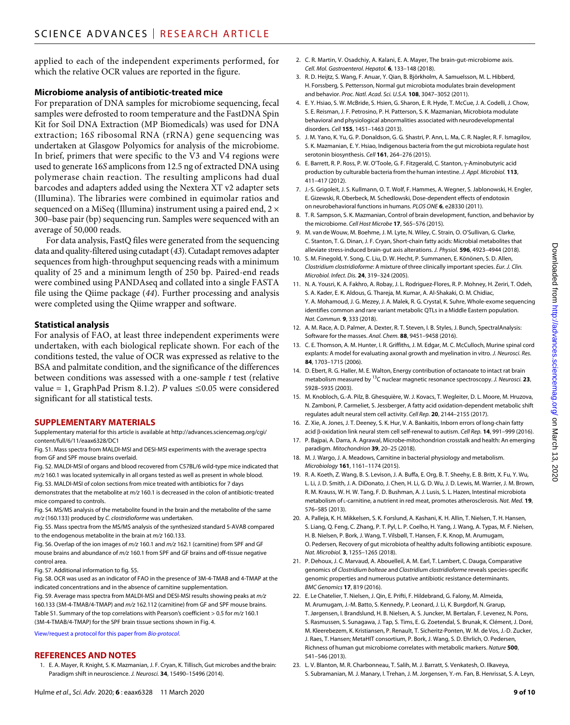applied to each of the independent experiments performed, for which the relative OCR values are reported in the figure.

#### **Microbiome analysis of antibiotic-treated mice**

For preparation of DNA samples for microbiome sequencing, fecal samples were defrosted to room temperature and the FastDNA Spin Kit for Soil DNA Extraction (MP Biomedicals) was used for DNA extraction; 16*S* ribosomal RNA (rRNA) gene sequencing was undertaken at Glasgow Polyomics for analysis of the microbiome. In brief, primers that were specific to the V3 and V4 regions were used to generate 16*S* amplicons from 12.5 ng of extracted DNA using polymerase chain reaction. The resulting amplicons had dual barcodes and adapters added using the Nextera XT v2 adapter sets (Illumina). The libraries were combined in equimolar ratios and sequenced on a MiSeq (Illumina) instrument using a paired end, 2 × 300–base pair (bp) sequencing run. Samples were sequenced with an average of 50,000 reads.

For data analysis, FastQ files were generated from the sequencing data and quality-filtered using cutadapt (*43*). Cutadapt removes adapter sequences from high-throughput sequencing reads with a minimum quality of 25 and a minimum length of 250 bp. Paired-end reads were combined using PANDAseq and collated into a single FASTA file using the Qiime package (*44*). Further processing and analysis were completed using the Qiime wrapper and software.

# **Statistical analysis**

For analysis of FAO, at least three independent experiments were undertaken, with each biological replicate shown. For each of the conditions tested, the value of OCR was expressed as relative to the BSA and palmitate condition, and the significance of the differences between conditions was assessed with a one-sample *t* test (relative value = 1, GraphPad Prism 8.1.2). *P* values  $\leq 0.05$  were considered significant for all statistical tests.

#### **SUPPLEMENTARY MATERIALS**

Supplementary material for this article is available at [http://advances.sciencemag.org/cgi/](http://advances.sciencemag.org/cgi/content/full/6/11/eaax6328/DC1) [content/full/6/11/eaax6328/DC1](http://advances.sciencemag.org/cgi/content/full/6/11/eaax6328/DC1)

Fig. S1. Mass spectra from MALDI-MSI and DESI-MSI experiments with the average spectra from GF and SPF mouse brains overlaid.

Fig. S2. MALDI-MSI of organs and blood recovered from C57BL/6 wild-type mice indicated that *m/z* 160.1 was located systemically in all organs tested as well as present in whole blood. Fig. S3. MALDI-MSI of colon sections from mice treated with antibiotics for 7 days

demonstrates that the metabolite at *m/z* 160.1 is decreased in the colon of antibiotic-treated mice compared to controls.

Fig. S4. MS/MS analysis of the metabolite found in the brain and the metabolite of the same *m/z* (160.133) produced by *C. clostridioforme* was undertaken.

Fig. S5. Mass spectra from the MS/MS analysis of the synthesized standard 5-AVAB compared to the endogenous metabolite in the brain at *m/z* 160.133.

Fig. S6. Overlap of the ion images of *m/z* 160.1 and *m/z* 162.1 (carnitine) from SPF and GF mouse brains and abundance of *m/z* 160.1 from SPF and GF brains and off-tissue negative control area.

Fig. S7. Additional information to fig. S5.

Fig. S8. OCR was used as an indicator of FAO in the presence of 3M-4-TMAB and 4-TMAP at the indicated concentrations and in the absence of carnitine supplementation.

Fig. S9. Average mass spectra from MALDI-MSI and DESI-MSI results showing peaks at *m/z* 160.133 (3M-4-TMAB/4-TMAP) and *m/z* 162.112 (carnitine) from GF and SPF mouse brains. Table S1. Summary of the top correlations with Pearson's coefficient > 0.5 for *m/z* 160.1 (3M-4-TMAB/4-TMAP) for the SPF brain tissue sections shown in Fig. 4.

[View/request a protocol for this paper from](https://en.bio-protocol.org/cjrap.aspx?eid=10.1126/sciadv.aax6328) *Bio-protocol*.

#### **REFERENCES AND NOTES**

1. E. A. Mayer, R. Knight, S. K. Mazmanian, J. F. Cryan, K. Tillisch, Gut microbes and the brain: Paradigm shift in neuroscience. *J. Neurosci.* **34**, 15490–15496 (2014).

- 2. C. R. Martin, V. Osadchiy, A. Kalani, E. A. Mayer, The brain-gut-microbiome axis. *Cell. Mol. Gastroenterol. Hepatol.* **6**, 133–148 (2018).
- 3. R. D. Heijtz, S. Wang, F. Anuar, Y. Qian, B. Björkholm, A. Samuelsson, M. L. Hibberd, H. Forssberg, S. Pettersson, Normal gut microbiota modulates brain development and behavior. *Proc. Natl. Acad. Sci. U.S.A.* **108**, 3047–3052 (2011).
- 4. E. Y. Hsiao, S. W. McBride, S. Hsien, G. Sharon, E. R. Hyde, T. McCue, J. A. Codelli, J. Chow, S. E. Reisman, J. F. Petrosino, P. H. Patterson, S. K. Mazmanian, Microbiota modulate behavioral and physiological abnormalities associated with neurodevelopmental disorders. *Cell* **155**, 1451–1463 (2013).
- 5. J. M. Yano, K. Yu, G. P. Donaldson, G. G. Shastri, P. Ann, L. Ma, C. R. Nagler, R. F. Ismagilov, S. K. Mazmanian, E. Y. Hsiao, Indigenous bacteria from the gut microbiota regulate host serotonin biosynthesis. *Cell* **161**, 264–276 (2015).
- 6. E. Barrett, R. P. Ross, P. W. O'Toole, G. F. Fitzgerald, C. Stanton, y-Aminobutyric acid production by culturable bacteria from the human intestine. *J. Appl. Microbiol.* **113**, 411–417 (2012).
- 7. J.-S. Grigoleit, J. S. Kullmann, O. T. Wolf, F. Hammes, A. Wegner, S. Jablonowski, H. Engler, E. Gizewski, R. Oberbeck, M. Schedlowski, Dose-dependent effects of endotoxin on neurobehavioral functions in humans. *PLOS ONE* **6**, e28330 (2011).
- 8. T. R. Sampson, S. K. Mazmanian, Control of brain development, function, and behavior by the microbiome. *Cell Host Microbe* **17**, 565–576 (2015).
- 9. M. van de Wouw, M. Boehme, J. M. Lyte, N. Wiley, C. Strain, O. O'Sullivan, G. Clarke, C. Stanton, T. G. Dinan, J. F. Cryan, Short-chain fatty acids: Microbial metabolites that alleviate stress-induced brain-gut axis alterations. *J. Physiol.* **596**, 4923–4944 (2018).
- 10. S. M. Finegold, Y. Song, C. Liu, D. W. Hecht, P. Summanen, E. Könönen, S. D. Allen, *Clostridium clostridioforme*: A mixture of three clinically important species. *Eur. J. Clin. Microbiol. Infect. Dis.* **24**, 319–324 (2005).
- 11. N. A. Yousri, K. A. Fakhro, A. Robay, J. L. Rodriguez-Flores, R. P. Mohney, H. Zeriri, T. Odeh, S. A. Kader, E. K. Aldous, G. Thareja, M. Kumar, A. Al-Shakaki, O. M. Chidiac, Y. A. Mohamoud, J. G. Mezey, J. A. Malek, R. G. Crystal, K. Suhre, Whole-exome sequencing identifies common and rare variant metabolic QTLs in a Middle Eastern population. *Nat. Commun.* **9**, 333 (2018).
- 12. A. M. Race, A. D. Palmer, A. Dexter, R. T. Steven, I. B. Styles, J. Bunch, SpectralAnalysis: Software for the masses. *Anal. Chem.* **88**, 9451–9458 (2016).
- 13. C. E. Thomson, A. M. Hunter, I. R. Griffiths, J. M. Edgar, M. C. McCulloch, Murine spinal cord explants: A model for evaluating axonal growth and myelination in vitro. *J. Neurosci. Res.* **84**, 1703–1715 (2006).
- 14. D. Ebert, R. G. Haller, M. E. Walton, Energy contribution of octanoate to intact rat brain metabolism measured by 13C nuclear magnetic resonance spectroscopy. *J. Neurosci.* **23**, 5928–5935 (2003).
- 15. M. Knobloch, G.-A. Pilz, B. Ghesquière, W. J. Kovacs, T. Wegleiter, D. L. Moore, M. Hruzova, N. Zamboni, P. Carmeliet, S. Jessberger, A fatty acid oxidation-dependent metabolic shift regulates adult neural stem cell activity. *Cell Rep.* **20**, 2144–2155 (2017).
- 16. Z. Xie, A. Jones, J. T. Deeney, S. K. Hur, V. A. Bankaitis, Inborn errors of long-chain fatty acid β-oxidation link neural stem cell self-renewal to autism. *Cell Rep*. **14**, 991-999 (2016).
- 17. P. Bajpai, A. Darra, A. Agrawal, Microbe-mitochondrion crosstalk and health: An emerging paradigm. *Mitochondrion* **39**, 20–25 (2018).
- 18. M. J. Wargo, J. A. Meadows, Carnitine in bacterial physiology and metabolism. *Microbiology* **161**, 1161–1174 (2015).
- 19. R. A. Koeth, Z. Wang, B. S. Levison, J. A. Buffa, E. Org, B. T. Sheehy, E. B. Britt, X. Fu, Y. Wu, L. Li, J. D. Smith, J. A. DiDonato, J. Chen, H. Li, G. D. Wu, J. D. Lewis, M. Warrier, J. M. Brown, R. M. Krauss, W. H. W. Tang, F. D. Bushman, A. J. Lusis, S. L. Hazen, Intestinal microbiota metabolism of <sup>l</sup>-carnitine, a nutrient in red meat, promotes atherosclerosis. *Nat. Med.* **19**, 576–585 (2013).
- 20. A. Palleja, K. H. Mikkelsen, S. K. Forslund, A. Kashani, K. H. Allin, T. Nielsen, T. H. Hansen, S. Liang, Q. Feng, C. Zhang, P. T. Pyl, L. P. Coelho, H. Yang, J. Wang, A. Typas, M. F. Nielsen, H. B. Nielsen, P. Bork, J. Wang, T. Vilsbøll, T. Hansen, F. K. Knop, M. Arumugam, O. Pedersen, Recovery of gut microbiota of healthy adults following antibiotic exposure. *Nat. Microbiol.* **3**, 1255–1265 (2018).
- 21. P. Dehoux, J. C. Marvaud, A. Abouelleil, A. M. Earl, T. Lambert, C. Dauga, Comparative genomics of *Clostridium bolteae* and *Clostridium clostridioforme* reveals species-specific genomic properties and numerous putative antibiotic resistance determinants. *BMC Genomics* **17**, 819 (2016).
- 22. E. Le Chatelier, T. Nielsen, J. Qin, E. Prifti, F. Hildebrand, G. Falony, M. Almeida, M. Arumugam, J.-M. Batto, S. Kennedy, P. Leonard, J. Li, K. Burgdorf, N. Grarup, T. Jørgensen, I. Brandslund, H. B. Nielsen, A. S. Juncker, M. Bertalan, F. Levenez, N. Pons, S. Rasmussen, S. Sunagawa, J. Tap, S. Tims, E. G. Zoetendal, S. Brunak, K. Clément, J. Doré, M. Kleerebezem, K. Kristiansen, P. Renault, T. Sicheritz-Ponten, W. M. de Vos, J.-D. Zucker, J. Raes, T. Hansen; MetaHIT consortium, P. Bork, J. Wang, S. D. Ehrlich, O. Pedersen, Richness of human gut microbiome correlates with metabolic markers. *Nature* **500**, 541–546 (2013).
- 23. L. V. Blanton, M. R. Charbonneau, T. Salih, M. J. Barratt, S. Venkatesh, O. Ilkaveya, S. Subramanian, M. J. Manary, I. Trehan, J. M. Jorgensen, Y.-m. Fan, B. Henrissat, S. A. Leyn,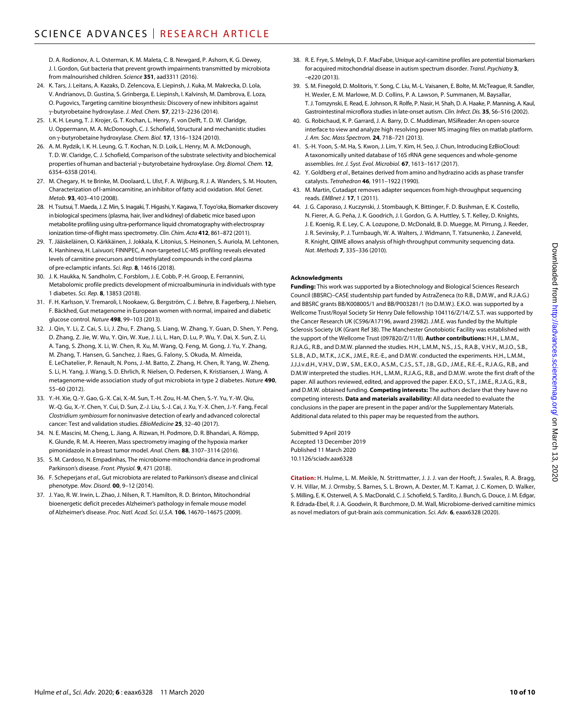D. A. Rodionov, A. L. Osterman, K. M. Maleta, C. B. Newgard, P. Ashorn, K. G. Dewey, J. I. Gordon, Gut bacteria that prevent growth impairments transmitted by microbiota from malnourished children. *Science* **351**, aad3311 (2016).

- 24. K. Tars, J. Leitans, A. Kazaks, D. Zelencova, E. Liepinsh, J. Kuka, M. Makrecka, D. Lola, V. Andrianovs, D. Gustina, S. Grinberga, E. Liepinsh, I. Kalvinsh, M. Dambrova, E. Loza, O. Pugovics, Targeting carnitine biosynthesis: Discovery of new inhibitors against -butyrobetaine hydroxylase. *J. Med. Chem.* **57**, 2213–2236 (2014).
- 25. I. K. H. Leung, T. J. Krojer, G. T. Kochan, L. Henry, F. von Delft, T. D. W. Claridge, U. Oppermann, M. A. McDonough, C. J. Schofield, Structural and mechanistic studies on γ-butyrobetaine hydroxylase. Chem. Biol. 17, 1316-1324 (2010).
- 26. A. M. Rydzik, I. K. H. Leung, G. T. Kochan, N. D. Loik, L. Henry, M. A. McDonough, T. D. W. Claridge, C. J. Schofield, Comparison of the substrate selectivity and biochemical properties of human and bacterial  $\gamma$ -butyrobetaine hydroxylase. *Org. Biomol. Chem.* 12, 6354–6358 (2014).
- 27. M. Chegary, H. te Brinke, M. Doolaard, L. IJlst, F. A. Wijburg, R. J. A. Wanders, S. M. Houten, Characterization of l-aminocarnitine, an inhibitor of fatty acid oxidation. *Mol. Genet. Metab.* **93**, 403–410 (2008).
- 28. H. Tsutsui, T. Maeda, J. Z. Min, S. Inagaki, T.Higashi, Y. Kagawa, T. Toyo'oka, Biomarker discovery in biological specimens (plasma, hair, liver and kidney) of diabetic mice based upon metabolite profiling using ultra-performance liquid chromatography with electrospray ionization time-of-flight mass spectrometry. *Clin. Chim. Acta* **412**, 861–872 (2011).
- 29. T. Jääskeläinen, O. Kärkkäinen, J. Jokkala, K. Litonius, S. Heinonen, S. Auriola, M. Lehtonen, K. Hanhineva, H. Laivuori; FINNPEC, A non-targeted LC-MS profiling reveals elevated levels of carnitine precursors and trimethylated compounds in the cord plasma of pre-eclamptic infants. *Sci. Rep.* **8**, 14616 (2018).
- 30. J. K. Haukka, N. Sandholm, C. Forsblom, J. E. Cobb, P.-H. Groop, E. Ferrannini, Metabolomic profile predicts development of microalbuminuria in individuals with type 1 diabetes. *Sci. Rep.* **8**, 13853 (2018).
- 31. F. H. Karlsson, V. Tremaroli, I. Nookaew, G. Bergström, C. J. Behre, B. Fagerberg, J. Nielsen, F. Bäckhed, Gut metagenome in European women with normal, impaired and diabetic glucose control. *Nature* **498**, 99–103 (2013).
- 32. J. Qin, Y. Li, Z. Cai, S. Li, J. Zhu, F. Zhang, S. Liang, W. Zhang, Y. Guan, D. Shen, Y. Peng, D. Zhang, Z. Jie, W. Wu, Y. Qin, W. Xue, J. Li, L. Han, D. Lu, P. Wu, Y. Dai, X. Sun, Z. Li, A. Tang, S. Zhong, X. Li, W. Chen, R. Xu, M. Wang, Q. Feng, M. Gong, J. Yu, Y. Zhang, M. Zhang, T. Hansen, G. Sanchez, J. Raes, G. Falony, S. Okuda, M. Almeida, E. LeChatelier, P. Renault, N. Pons, J.-M. Batto, Z. Zhang, H. Chen, R. Yang, W. Zheng, S. Li, H. Yang, J. Wang, S. D. Ehrlich, R. Nielsen, O. Pedersen, K. Kristiansen, J. Wang, A metagenome-wide association study of gut microbiota in type 2 diabetes. *Nature* **490**, 55–60 (2012).
- 33. Y.-H. Xie, Q.-Y. Gao, G.-X. Cai, X.-M. Sun, T.-H. Zou, H.-M. Chen, S.-Y. Yu, Y.-W. Qiu, W.-Q. Gu, X.-Y. Chen, Y. Cui, D. Sun, Z.-J. Liu, S.-J. Cai, J. Xu, Y.-X. Chen, J.-Y. Fang, Fecal *Clostridium symbiosum* for noninvasive detection of early and advanced colorectal cancer: Test and validation studies. *EBioMedicine* **25**, 32–40 (2017).
- 34. N. E. Mascini, M. Cheng, L. Jiang, A. Rizwan, H. Podmore, D. R. Bhandari, A. Römpp, K. Glunde, R. M. A. Heeren, Mass spectrometry imaging of the hypoxia marker pimonidazole in a breast tumor model. *Anal. Chem.* **88**, 3107–3114 (2016).
- 35. S. M. Cardoso, N. Empadinhas, The microbiome-mitochondria dance in prodromal Parkinson's disease. *Front. Physiol.* **9**, 471 (2018).
- 36. F. Scheperjans *et al.*, Gut microbiota are related to Parkinson's disease and clinical phenotype. *Mov. Disord.* **00**, 9–12 (2014).
- 37. J. Yao, R. W. Irwin, L. Zhao, J. Nilsen, R. T. Hamilton, R. D. Brinton, Mitochondrial bioenergetic deficit precedes Alzheimer's pathology in female mouse model of Alzheimer's disease. *Proc. Natl. Acad. Sci. U.S.A.* **106**, 14670–14675 (2009).
- 38. R. E. Frye, S. Melnyk, D. F. MacFabe, Unique acyl-carnitine profiles are potential biomarkers for acquired mitochondrial disease in autism spectrum disorder. *Transl. Psychiatry* **3**, –e220 (2013).
- 39. S. M. Finegold, D. Molitoris, Y. Song, C. Liu, M.-L. Vaisanen, E. Bolte, M. McTeague, R. Sandler, H. Wexler, E. M. Marlowe, M. D. Collins, P. A. Lawson, P. Summanen, M. Baysallar, T.J. Tomzynski, E. Read, E.Johnson, R. Rolfe, P. Nasir, H. Shah, D. A. Haake, P. Manning, A. Kaul, Gastrointestinal microflora studies in late-onset autism. *Clin. Infect. Dis.* **35**, S6–S16 (2002).
- 40. G. Robichaud, K. P. Garrard, J. A. Barry, D. C. Muddiman, MSiReader: An open-source interface to view and analyze high resolving power MS imaging files on matlab platform. *J. Am. Soc. Mass Spectrom.* **24**, 718–721 (2013).
- 41. S.-H. Yoon, S.-M. Ha, S. Kwon, J. Lim, Y. Kim, H. Seo, J. Chun, Introducing EzBioCloud: A taxonomically united database of 16S rRNA gene sequences and whole-genome assemblies. *Int. J. Syst. Evol. Microbiol.* **67**, 1613–1617 (2017).
- 42. Y. Goldberg *et al.*, Betaines derived from amino and hydrazino acids as phase transfer catalysts. *Tetrahedron* **46**, 1911–1922 (1990).
- 43. M. Martin, Cutadapt removes adapter sequences from high-throughput sequencing reads. *EMBnet J.* **17**, 1 (2011).
- 44. J. G. Caporaso, J. Kuczynski, J. Stombaugh, K. Bittinger, F. D. Bushman, E. K. Costello, N. Fierer, A. G. Peña, J. K. Goodrich, J. I. Gordon, G. A. Huttley, S. T. Kelley, D. Knights, J. E. Koenig, R. E. Ley, C. A. Lozupone, D. McDonald, B. D. Muegge, M. Pirrung, J. Reeder, J. R. Sevinsky, P. J. Turnbaugh, W. A. Walters, J. Widmann, T. Yatsunenko, J. Zaneveld, R. Knight, QIIME allows analysis of high-throughput community sequencing data. *Nat. Methods* **7**, 335–336 (2010).

#### **Acknowledgments**

**Funding:** This work was supported by a Biotechnology and Biological Sciences Research Council (BBSRC)–CASE studentship part funded by AstraZeneca (to R.B., D.M.W., and R.J.A.G.) and BBSRC grants BB/K008005/1 and BB/P003281/1 (to D.M.W.). E.K.O. was supported by a Wellcome Trust/Royal Society Sir Henry Dale fellowship 104116/Z/14/Z. S.T. was supported by the Cancer Research UK (C596/A17196, award 23982). J.M.E. was funded by the Multiple Sclerosis Society UK (Grant Ref 38). The Manchester Gnotobiotic Facility was established with the support of the Wellcome Trust (097820/Z/11/B). **Author contributions:** H.H., L.M.M., R.J.A.G., R.B., and D.M.W. planned the studies. H.H., L.M.M., N.S., J.S., R.A.B., V.H.V., M.J.O., S.B., S.L.B., A.D., M.T.K., J.C.K., J.M.E., R.E.-E., and D.M.W. conducted the experiments. H.H., L.M.M., J.J.J.v.d.H., V.H.V., D.W., S.M., E.K.O., A.S.M., C.J.S., S.T., J.B., G.D., J.M.E., R.E.-E., R.J.A.G., R.B., and D.M.W interpreted the studies. H.H., L.M.M., R.J.A.G., R.B., and D.M.W. wrote the first draft of the paper. All authors reviewed, edited, and approved the paper. E.K.O., S.T., J.M.E., R.J.A.G., R.B., and D.M.W. obtained funding. **Competing interests:** The authors declare that they have no competing interests. **Data and materials availability:** All data needed to evaluate the conclusions in the paper are present in the paper and/or the Supplementary Materials. Additional data related to this paper may be requested from the authors.

Submitted 9 April 2019 Accepted 13 December 2019 Published 11 March 2020 10.1126/sciadv.aax6328

**Citation:** H. Hulme, L. M. Meikle, N. Strittmatter, J. J. J. van der Hooft, J. Swales, R. A. Bragg, V. H. Villar, M. J. Ormsby, S. Barnes, S. L. Brown, A. Dexter, M. T. Kamat, J. C. Komen, D. Walker, S. Milling, E. K. Osterweil, A. S. MacDonald, C.J. Schofield, S. Tardito, J. Bunch, G. Douce, J. M. Edgar, R. Edrada-Ebel, R. J. A. Goodwin, R. Burchmore, D. M. Wall, Microbiome-derived carnitine mimics as novel mediators of gut-brain axis communication. *Sci. Adv.* **6**, eaax6328 (2020).